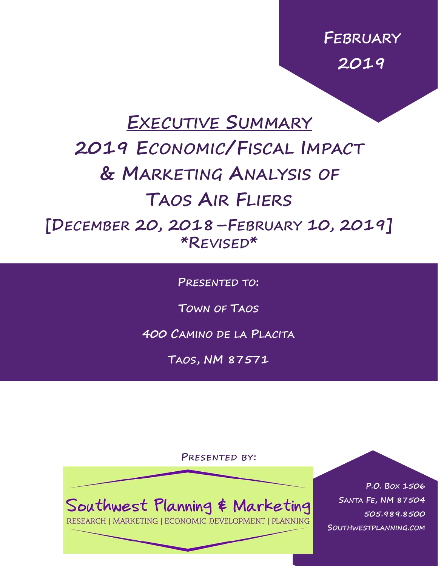**FEBRUARY 2019**

# **EXECUTIVE SUMMARY**

# **2019 ECONOMIC/FISCAL IMPACT & MARKETING ANALYSIS OF TAOS AIR FLIERS**

**[DECEMBER 20, 2018–FEBRUARY 10, 2019] \*REVISED\***

**PRESENTED TO:**

**TOWN OF TAOS**

**400 CAMINO DE LA PLACITA**

**TAOS, NM 87571**

**PRESENTED BY:**

Southwest Planning & Marketing

RESEARCH | MARKETING | ECONOMIC DEVELOPMENT | PLANNING

**P.O. BOX 1506 SANTA FE, NM 87504 505.989.8500 SOUTHWESTPLANNING.COM**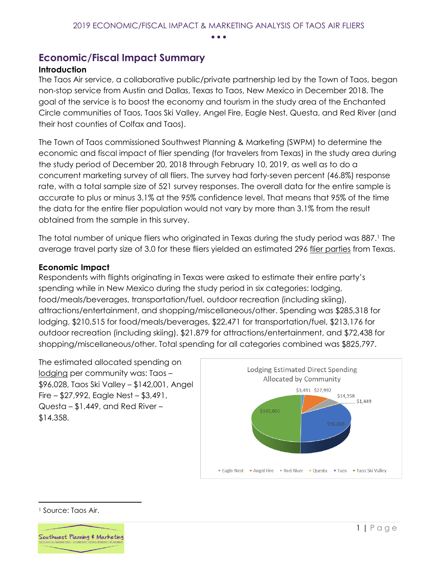• • •

### **Economic/Fiscal Impact Summary**

#### **Introduction**

The Taos Air service, a collaborative public/private partnership led by the Town of Taos, began non-stop service from Austin and Dallas, Texas to Taos, New Mexico in December 2018. The goal of the service is to boost the economy and tourism in the study area of the Enchanted Circle communities of Taos, Taos Ski Valley, Angel Fire, Eagle Nest, Questa, and Red River (and their host counties of Colfax and Taos).

The Town of Taos commissioned Southwest Planning & Marketing (SWPM) to determine the economic and fiscal impact of flier spending (for travelers from Texas) in the study area during the study period of December 20, 2018 through February 10, 2019, as well as to do a concurrent marketing survey of all fliers. The survey had forty-seven percent (46.8%) response rate, with a total sample size of 521 survey responses. The overall data for the entire sample is accurate to plus or minus 3.1% at the 95% confidence level. That means that 95% of the time the data for the entire flier population would not vary by more than 3.1% from the result obtained from the sample in this survey.

The total number of unique fliers who originated in Texas during the study period was 887.<sup>1</sup> The average travel party size of 3.0 for these fliers yielded an estimated 296 flier parties from Texas.

#### **Economic Impact**

Respondents with flights originating in Texas were asked to estimate their entire party's spending while in New Mexico during the study period in six categories: lodging, food/meals/beverages, transportation/fuel, outdoor recreation (including skiing), attractions/entertainment, and shopping/miscellaneous/other. Spending was \$285,318 for lodging, \$210,515 for food/meals/beverages, \$22,471 for transportation/fuel, \$213,176 for outdoor recreation (including skiing), \$21,879 for attractions/entertainment, and \$72,438 for shopping/miscellaneous/other. Total spending for all categories combined was \$825,797.

The estimated allocated spending on lodging per community was: Taos – \$96,028, Taos Ski Valley – \$142,001, Angel Fire – \$27,992, Eagle Nest – \$3,491, Questa – \$1,449, and Red River – \$14,358.



<sup>1</sup> Source: Taos Air.

 $\overline{a}$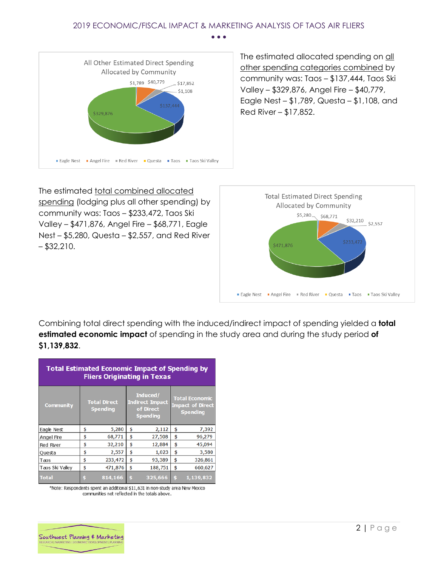#### 2019 ECONOMIC/FISCAL IMPACT & MARKETING ANALYSIS OF TAOS AIR FLIERS • • •



The estimated allocated spending on all other spending categories combined by community was: Taos – \$137,444, Taos Ski Valley – \$329,876, Angel Fire – \$40,779, Eagle Nest – \$1,789, Questa – \$1,108, and Red River – \$17,852.

The estimated total combined allocated spending (lodging plus all other spending) by community was: Taos – \$233,472, Taos Ski Valley – \$471,876, Angel Fire – \$68,771, Eagle Nest – \$5,280, Questa – \$2,557, and Red River  $-$  \$32,210.



Combining total direct spending with the induced/indirect impact of spending yielded a **total estimated economic impact** of spending in the study area and during the study period **of \$1,139,832**.

| <b>Total Estimated Economic Impact of Spending by</b><br><b>Fliers Originating in Texas</b> |                                        |         |                                                                    |         |                                                                     |           |
|---------------------------------------------------------------------------------------------|----------------------------------------|---------|--------------------------------------------------------------------|---------|---------------------------------------------------------------------|-----------|
| <b>Community</b>                                                                            | <b>Total Direct</b><br><b>Spending</b> |         | Induced/<br><b>Indirect Impact</b><br>of Direct<br><b>Spending</b> |         | <b>Total Economic</b><br><b>Impact of Direct</b><br><b>Spending</b> |           |
| Eagle Nest                                                                                  | \$                                     | 5,280   | \$                                                                 | 2,112   | \$                                                                  | 7,392     |
| Angel Fire                                                                                  | \$                                     | 68,771  | \$                                                                 | 27,508  | \$                                                                  | 96,279    |
| Red River                                                                                   | \$                                     | 32,210  | \$                                                                 | 12,884  | \$                                                                  | 45,094    |
| Questa                                                                                      | \$                                     | 2,557   | \$                                                                 | 1,023   | \$                                                                  | 3,580     |
| Taos                                                                                        | \$                                     | 233,472 | \$                                                                 | 93,389  | \$                                                                  | 326,861   |
| Taos Ski Valley                                                                             | \$                                     | 471,876 | \$                                                                 | 188,751 | \$                                                                  | 660,627   |
| <b>Total</b>                                                                                | \$                                     | 814,166 | \$                                                                 | 325,666 | \$                                                                  | 1,139,832 |

\*Note: Respondents spent an additional \$11,631 in non-study area New Mexico communities not reflected in the totals above.

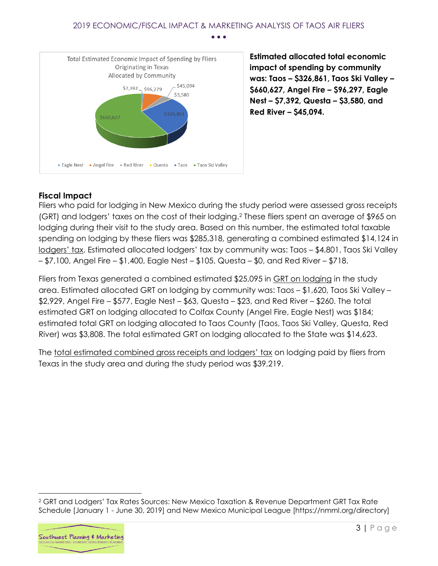#### 2019 ECONOMIC/FISCAL IMPACT & MARKETING ANALYSIS OF TAOS AIR FLIERS • • •



**Estimated allocated total economic impact of spending by community was: Taos – \$326,861, Taos Ski Valley – \$660,627, Angel Fire – \$96,297, Eagle Nest – \$7,392, Questa – \$3,580, and Red River – \$45,094.**

#### **Fiscal Impact**

Fliers who paid for lodging in New Mexico during the study period were assessed gross receipts (GRT) and lodgers' taxes on the cost of their lodging.<sup>2</sup> These fliers spent an average of \$965 on lodging during their visit to the study area. Based on this number, the estimated total taxable spending on lodging by these fliers was \$285,318, generating a combined estimated \$14,124 in lodgers' tax. Estimated allocated lodgers' tax by community was: Taos – \$4,801, Taos Ski Valley – \$7,100, Angel Fire – \$1,400, Eagle Nest – \$105, Questa – \$0, and Red River – \$718.

Fliers from Texas generated a combined estimated \$25,095 in GRT on lodging in the study area. Estimated allocated GRT on lodging by community was: Taos – \$1,620, Taos Ski Valley – \$2,929, Angel Fire – \$577, Eagle Nest – \$63, Questa – \$23, and Red River – \$260. The total estimated GRT on lodging allocated to Colfax County (Angel Fire, Eagle Nest) was \$184; estimated total GRT on lodging allocated to Taos County (Taos, Taos Ski Valley, Questa, Red River) was \$3,808. The total estimated GRT on lodging allocated to the State was \$14,623.

The total estimated combined gross receipts and lodgers' tax on lodging paid by fliers from Texas in the study area and during the study period was \$39,219.

<sup>2</sup> GRT and Lodgers' Tax Rates Sources: New Mexico Taxation & Revenue Department GRT Tax Rate Schedule [January 1 - June 30, 2019] and New Mexico Municipal League [https://nmml.org/directory]



 $\overline{a}$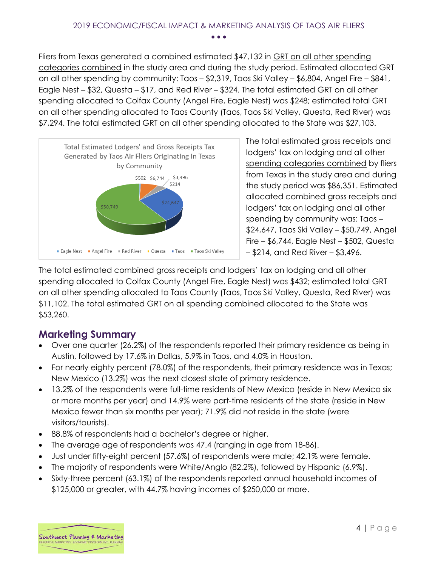Fliers from Texas generated a combined estimated \$47,132 in GRT on all other spending categories combined in the study area and during the study period. Estimated allocated GRT on all other spending by community: Taos – \$2,319, Taos Ski Valley – \$6,804, Angel Fire – \$841, Eagle Nest – \$32, Questa – \$17, and Red River – \$324. The total estimated GRT on all other spending allocated to Colfax County (Angel Fire, Eagle Nest) was \$248; estimated total GRT on all other spending allocated to Taos County (Taos, Taos Ski Valley, Questa, Red River) was \$7,294. The total estimated GRT on all other spending allocated to the State was \$27,103.



The total estimated gross receipts and lodgers' tax on lodging and all other spending categories combined by fliers from Texas in the study area and during the study period was \$86,351. Estimated allocated combined gross receipts and lodgers' tax on lodging and all other spending by community was: Taos – \$24,647, Taos Ski Valley – \$50,749, Angel Fire – \$6,744, Eagle Nest – \$502, Questa – \$214, and Red River – \$3,496.

The total estimated combined gross receipts and lodgers' tax on lodging and all other spending allocated to Colfax County (Angel Fire, Eagle Nest) was \$432; estimated total GRT on all other spending allocated to Taos County (Taos, Taos Ski Valley, Questa, Red River) was \$11,102. The total estimated GRT on all spending combined allocated to the State was \$53,260.

## **Marketing Summary**

- Over one quarter (26.2%) of the respondents reported their primary residence as being in Austin, followed by 17.6% in Dallas, 5.9% in Taos, and 4.0% in Houston.
- For nearly eighty percent (78.0%) of the respondents, their primary residence was in Texas; New Mexico (13.2%) was the next closest state of primary residence.
- 13.2% of the respondents were full-time residents of New Mexico (reside in New Mexico six or more months per year) and 14.9% were part-time residents of the state (reside in New Mexico fewer than six months per year); 71.9% did not reside in the state (were visitors/tourists).
- 88.8% of respondents had a bachelor's degree or higher.
- The average age of respondents was 47.4 (ranging in age from 18-86).
- Just under fifty-eight percent (57.6%) of respondents were male; 42.1% were female.
- The majority of respondents were White/Anglo (82.2%), followed by Hispanic (6.9%).
- Sixty-three percent (63.1%) of the respondents reported annual household incomes of \$125,000 or greater, with 44.7% having incomes of \$250,000 or more.